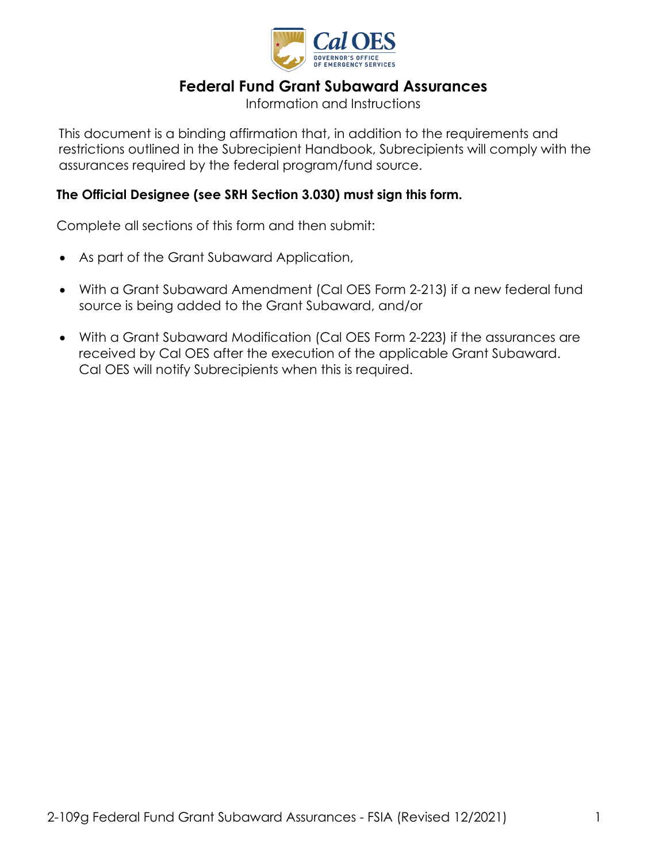

# **Federal Fund Grant Subaward Assurances**

Information and Instructions

 This document is a binding affirmation that, in addition to the requirements and restrictions outlined in the Subrecipient Handbook, Subrecipients will comply with the assurances required by the federal program/fund source.

### **The Official Designee (see SRH Section 3.030) must sign this form.**

Complete all sections of this form and then submit:

- As part of the Grant Subaward Application,
- • With a Grant Subaward Amendment (Cal OES Form 2-213) if a new federal fund source is being added to the Grant Subaward, and/or
- received by Cal OES after the execution of the applicable Grant Subaward.<br>Cal OES will notify Subrecipients when this is required. • With a Grant Subaward Modification (Cal OES Form 2-223) if the assurances are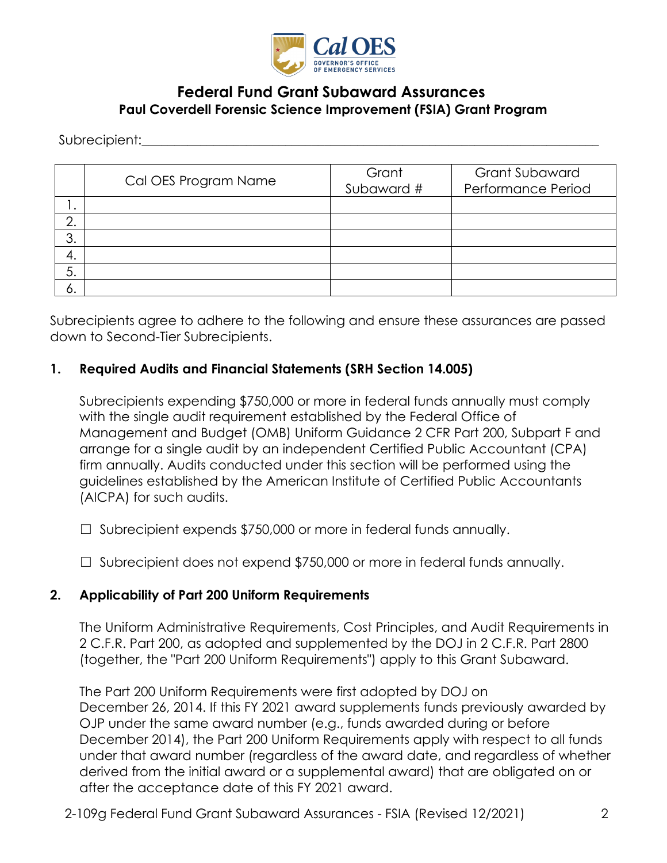

## **Federal Fund Grant Subaward Assurances Paul Coverdell Forensic Science Improvement (FSIA) Grant Program**

Subrecipient:

|     | Cal OES Program Name | Grant<br>Subaward # | <b>Grant Subaward</b><br>Performance Period |
|-----|----------------------|---------------------|---------------------------------------------|
| . ا |                      |                     |                                             |
| ⌒   |                      |                     |                                             |
| 3.  |                      |                     |                                             |
| 4.  |                      |                     |                                             |
| 5.  |                      |                     |                                             |
| O.  |                      |                     |                                             |

Subrecipients agree to adhere to the following and ensure these assurances are passed down to Second-Tier Subrecipients.

#### **1. Required Audits and Financial Statements (SRH Section 14.005)**

Subrecipients expending \$750,000 or more in federal funds annually must comply with the single audit requirement established by the Federal Office of Management and Budget (OMB) Uniform Guidance 2 CFR Part 200, Subpart F and arrange for a single audit by an independent Certified Public Accountant (CPA) firm annually. Audits conducted under this section will be performed using the guidelines established by the American Institute of Certified Public Accountants (AICPA) for such audits.

- ☐ Subrecipient expends \$750,000 or more in federal funds annually.
- ☐ Subrecipient does not expend \$750,000 or more in federal funds annually.

#### **2. Applicability of Part 200 Uniform Requirements**

The Uniform Administrative Requirements, Cost Principles, and Audit Requirements in 2 C.F.R. Part 200, as adopted and supplemented by the DOJ in 2 C.F.R. Part 2800 (together, the "Part 200 Uniform Requirements") apply to this Grant Subaward.

The Part 200 Uniform Requirements were first adopted by DOJ on December 26, 2014. If this FY 2021 award supplements funds previously awarded by OJP under the same award number (e.g., funds awarded during or before December 2014), the Part 200 Uniform Requirements apply with respect to all funds under that award number (regardless of the award date, and regardless of whether derived from the initial award or a supplemental award) that are obligated on or after the acceptance date of this FY 2021 award.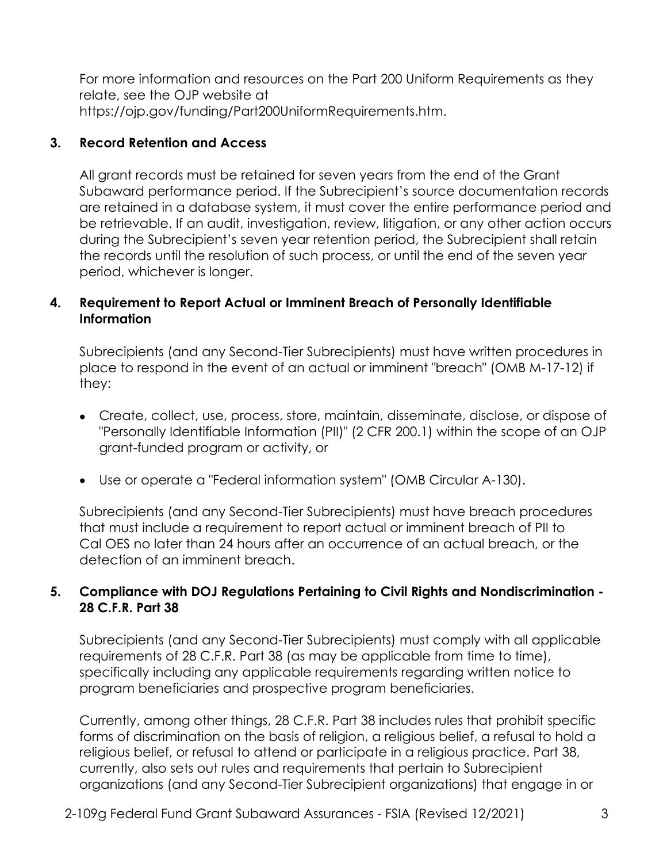For more information and resources on the Part 200 Uniform Requirements as they relate, see the OJP website at [https://ojp.gov/funding/Part200UniformRequirements.htm.](https://ojp.gov/funding/Part200UniformRequirements.htm)

## **3. Record Retention and Access**

All grant records must be retained for seven years from the end of the Grant Subaward performance period. If the Subrecipient's source documentation records are retained in a database system, it must cover the entire performance period and be retrievable. If an audit, investigation, review, litigation, or any other action occurs during the Subrecipient's seven year retention period, the Subrecipient shall retain the records until the resolution of such process, or until the end of the seven year period, whichever is longer.

## **4. Requirement to Report Actual or Imminent Breach of Personally Identifiable Information**

Subrecipients (and any Second-Tier Subrecipients) must have written procedures in place to respond in the event of an actual or imminent "breach" (OMB M-17-12) if they:

- • Create, collect, use, process, store, maintain, disseminate, disclose, or dispose of "Personally Identifiable Information (PII)" (2 CFR 200.1) within the scope of an OJP grant-funded program or activity, or
- Use or operate a "Federal information system" (OMB Circular A-130).

Subrecipients (and any Second-Tier Subrecipients) must have breach procedures that must include a requirement to report actual or imminent breach of PII to Cal OES no later than 24 hours after an occurrence of an actual breach, or the detection of an imminent breach.

### **5. Compliance with DOJ Regulations Pertaining to Civil Rights and Nondiscrimination - 28 C.F.R. Part 38**

 requirements of 28 C.F.R. Part 38 (as may be applicable from time to time), Subrecipients (and any Second-Tier Subrecipients) must comply with all applicable specifically including any applicable requirements regarding written notice to program beneficiaries and prospective program beneficiaries.

Currently, among other things, 28 C.F.R. Part 38 includes rules that prohibit specific forms of discrimination on the basis of religion, a religious belief, a refusal to hold a religious belief, or refusal to attend or participate in a religious practice. Part 38, currently, also sets out rules and requirements that pertain to Subrecipient organizations (and any Second-Tier Subrecipient organizations) that engage in or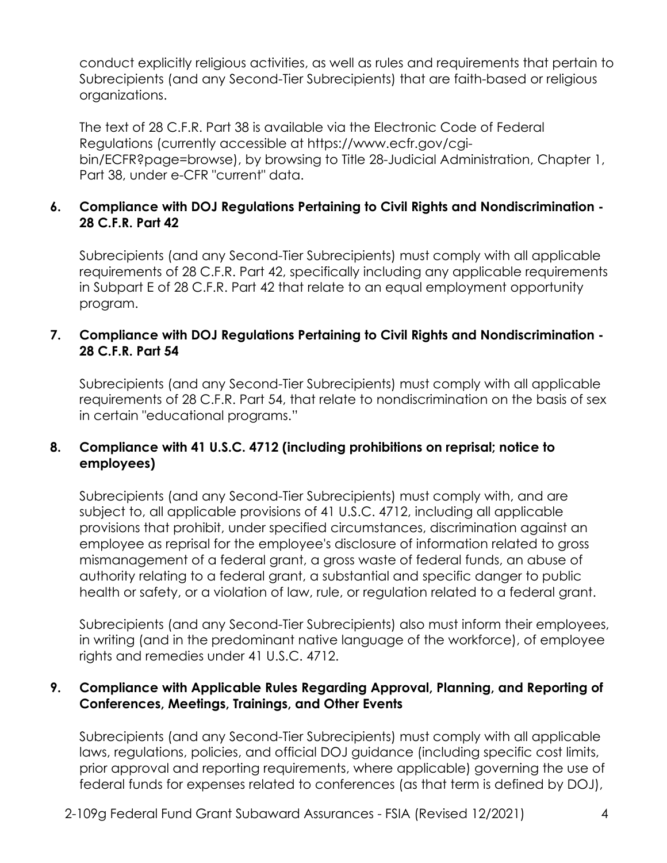conduct explicitly religious activities, as well as rules and requirements that pertain to Subrecipients (and any Second-Tier Subrecipients) that are faith-based or religious organizations.

The text of 28 C.F.R. Part 38 is available via the Electronic Code of Federal Regulations (currently accessible at<https://www.ecfr.gov/cgi>bin/ECFR?page=browse), by browsing to Title 28-Judicial Administration, Chapter 1, Part 38, under e-CFR "current" data.

### **6. Compliance with DOJ Regulations Pertaining to Civil Rights and Nondiscrimination - 28 C.F.R. Part 42**

Subrecipients (and any Second-Tier Subrecipients) must comply with all applicable requirements of 28 C.F.R. Part 42, specifically including any applicable requirements in Subpart E of 28 C.F.R. Part 42 that relate to an equal employment opportunity program.

### **7. Compliance with DOJ Regulations Pertaining to Civil Rights and Nondiscrimination - 28 C.F.R. Part 54**

Subrecipients (and any Second-Tier Subrecipients) must comply with all applicable requirements of 28 C.F.R. Part 54, that relate to nondiscrimination on the basis of sex in certain "educational programs."

## **8. Compliance with 41 U.S.C. 4712 (including prohibitions on reprisal; notice to employees)**

 provisions that prohibit, under specified circumstances, discrimination against an Subrecipients (and any Second-Tier Subrecipients) must comply with, and are subject to, all applicable provisions of 41 U.S.C. 4712, including all applicable employee as reprisal for the employee's disclosure of information related to gross mismanagement of a federal grant, a gross waste of federal funds, an abuse of authority relating to a federal grant, a substantial and specific danger to public health or safety, or a violation of law, rule, or regulation related to a federal grant.

 Subrecipients (and any Second-Tier Subrecipients) also must inform their employees, in writing (and in the predominant native language of the workforce), of employee rights and remedies under 41 U.S.C. 4712.

### **9. Compliance with Applicable Rules Regarding Approval, Planning, and Reporting of Conferences, Meetings, Trainings, and Other Events**

Subrecipients (and any Second-Tier Subrecipients) must comply with all applicable laws, regulations, policies, and official DOJ guidance (including specific cost limits, prior approval and reporting requirements, where applicable) governing the use of federal funds for expenses related to conferences (as that term is defined by DOJ),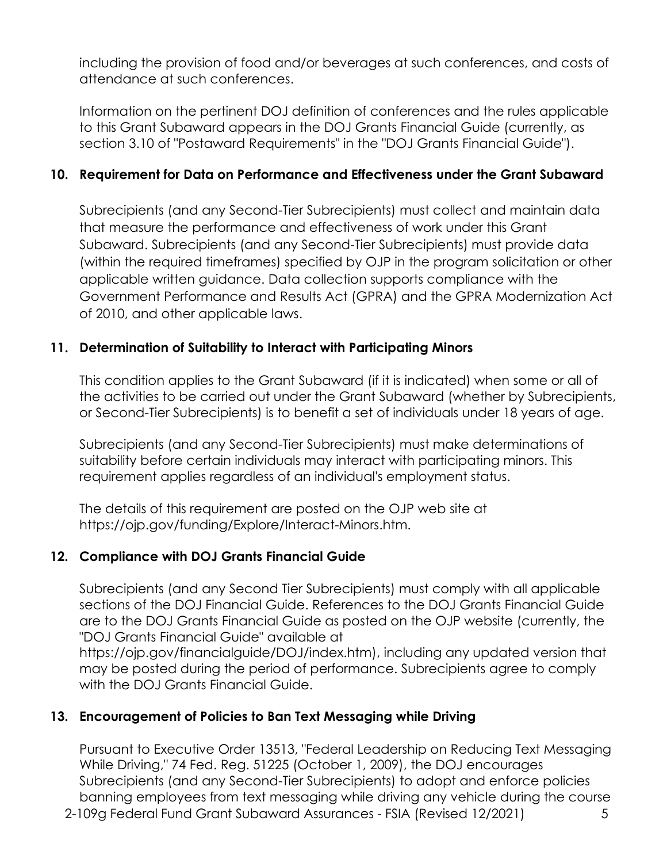including the provision of food and/or beverages at such conferences, and costs of attendance at such conferences.

Information on the pertinent DOJ definition of conferences and the rules applicable to this Grant Subaward appears in the DOJ Grants Financial Guide (currently, as section 3.10 of "Postaward Requirements" in the "DOJ Grants Financial Guide").

## **10. Requirement for Data on Performance and Effectiveness under the Grant Subaward**

 (within the required timeframes) specified by OJP in the program solicitation or other Subrecipients (and any Second-Tier Subrecipients) must collect and maintain data that measure the performance and effectiveness of work under this Grant Subaward. Subrecipients (and any Second-Tier Subrecipients) must provide data applicable written guidance. Data collection supports compliance with the Government Performance and Results Act (GPRA) and the GPRA Modernization Act of 2010, and other applicable laws.

#### **11. Determination of Suitability to Interact with Participating Minors**

 This condition applies to the Grant Subaward (if it is indicated) when some or all of the activities to be carried out under the Grant Subaward (whether by Subrecipients, or Second-Tier Subrecipients) is to benefit a set of individuals under 18 years of age.

 suitability before certain individuals may interact with participating minors. This Subrecipients (and any Second-Tier Subrecipients) must make determinations of requirement applies regardless of an individual's employment status.

The details of this requirement are posted on the OJP web site at <https://ojp.gov/funding/Explore/Interact-Minors.htm>.

## **12. Compliance with DOJ Grants Financial Guide**

 are to the DOJ Grants Financial Guide as posted on the OJP website (currently, the Subrecipients (and any Second Tier Subrecipients) must comply with all applicable sections of the DOJ Financial Guide. References to the DOJ Grants Financial Guide "DOJ Grants Financial Guide" available at

 <https://ojp.gov/financialguide/DOJ/index.htm>), including any updated version that may be posted during the period of performance. Subrecipients agree to comply with the DOJ Grants Financial Guide.

## **13. Encouragement of Policies to Ban Text Messaging while Driving**

Pursuant to Executive Order 13513, "Federal Leadership on Reducing Text Messaging While Driving," 74 Fed. Reg. 51225 (October 1, 2009), the DOJ encourages Subrecipients (and any Second-Tier Subrecipients) to adopt and enforce policies banning employees from text messaging while driving any vehicle during the course

2-109g Federal Fund Grant Subaward Assurances - FSIA (Revised 12/2021) 5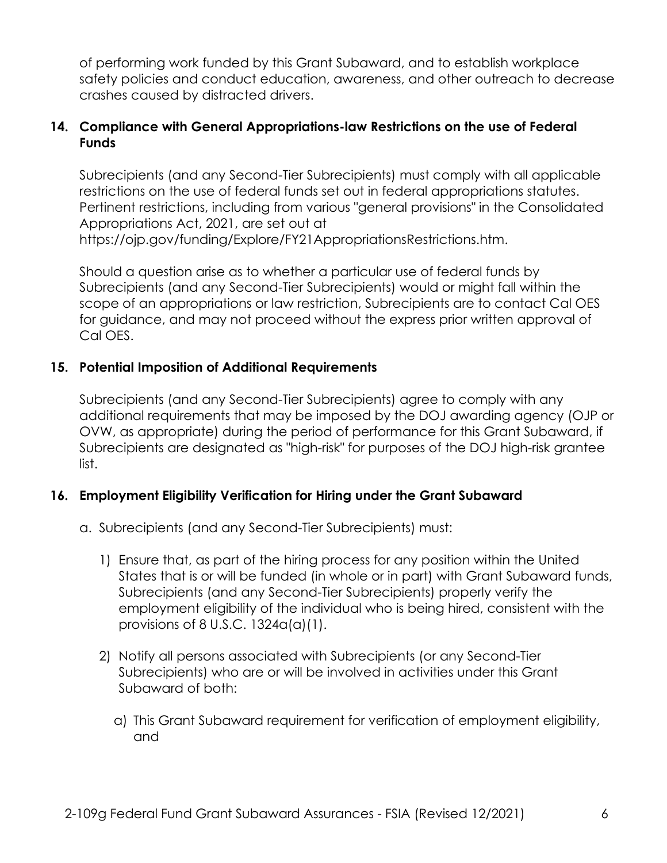safety policies and conduct education, awareness, and other outreach to decrease of performing work funded by this Grant Subaward, and to establish workplace crashes caused by distracted drivers.

## **14. Compliance with General Appropriations-law Restrictions on the use of Federal Funds**

Subrecipients (and any Second-Tier Subrecipients) must comply with all applicable restrictions on the use of federal funds set out in federal appropriations statutes. Pertinent restrictions, including from various "general provisions" in the Consolidated Appropriations Act, 2021, are set out at <https://ojp.gov/funding/Explore/FY21AppropriationsRestrictions.htm>.

 Subrecipients (and any Second-Tier Subrecipients) would or might fall within the Should a question arise as to whether a particular use of federal funds by scope of an appropriations or law restriction, Subrecipients are to contact Cal OES for guidance, and may not proceed without the express prior written approval of Cal OES.

### **15. Potential Imposition of Additional Requirements**

 Subrecipients (and any Second-Tier Subrecipients) agree to comply with any additional requirements that may be imposed by the DOJ awarding agency (OJP or OVW, as appropriate) during the period of performance for this Grant Subaward, if Subrecipients are designated as "high-risk" for purposes of the DOJ high-risk grantee list.

## **16. Employment Eligibility Verification for Hiring under the Grant Subaward**

- a. Subrecipients (and any Second-Tier Subrecipients) must:
	- 1) Ensure that, as part of the hiring process for any position within the United States that is or will be funded (in whole or in part) with Grant Subaward funds, Subrecipients (and any Second-Tier Subrecipients) properly verify the employment eligibility of the individual who is being hired, consistent with the provisions of 8 U.S.C. 1324a(a)(1).
	- Subrecipients) who are or will be involved in activities under this Grant 2) Notify all persons associated with Subrecipients (or any Second-Tier Subaward of both:
		- a) This Grant Subaward requirement for verification of employment eligibility, and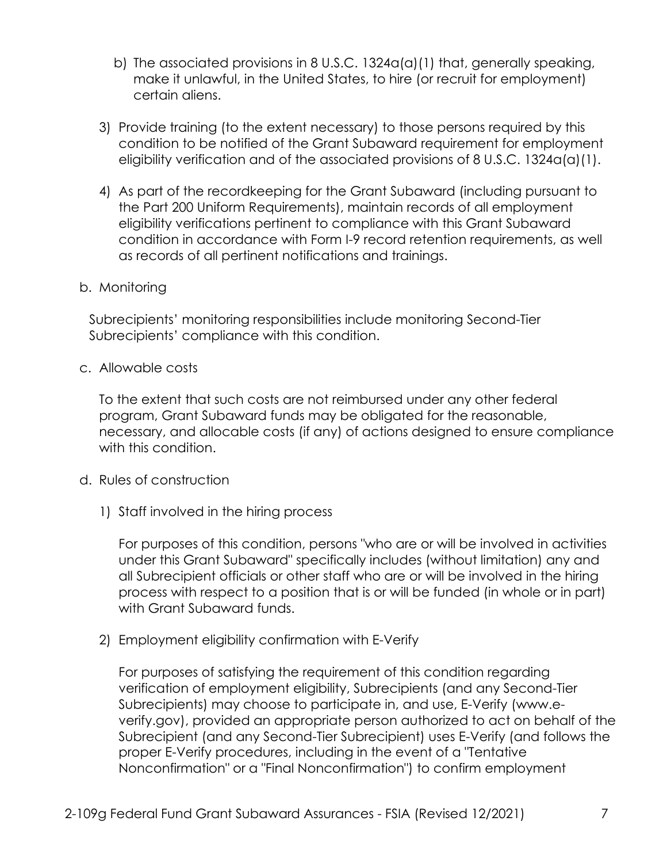- b) The associated provisions in 8 U.S.C. 1324a(a)(1) that, generally speaking, make it unlawful, in the United States, to hire (or recruit for employment) certain aliens.
- 3) Provide training (to the extent necessary) to those persons required by this condition to be notified of the Grant Subaward requirement for employment eligibility verification and of the associated provisions of 8 U.S.C. 1324a(a)(1).
- 4) As part of the recordkeeping for the Grant Subaward (including pursuant to the Part 200 Uniform Requirements), maintain records of all employment eligibility verifications pertinent to compliance with this Grant Subaward condition in accordance with Form I-9 record retention requirements, as well as records of all pertinent notifications and trainings.
- b. Monitoring

Subrecipients' monitoring responsibilities include monitoring Second-Tier Subrecipients' compliance with this condition.

c. Allowable costs

 necessary, and allocable costs (if any) of actions designed to ensure compliance To the extent that such costs are not reimbursed under any other federal program, Grant Subaward funds may be obligated for the reasonable, with this condition.

- d. Rules of construction
	- 1) Staff involved in the hiring process

For purposes of this condition, persons "who are or will be involved in activities under this Grant Subaward" specifically includes (without limitation) any and all Subrecipient officials or other staff who are or will be involved in the hiring process with respect to a position that is or will be funded (in whole or in part) with Grant Subaward funds.

2) Employment eligibility confirmation with E-Verify

 Subrecipient (and any Second-Tier Subrecipient) uses E-Verify (and follows the For purposes of satisfying the requirement of this condition regarding verification of employment eligibility, Subrecipients (and any Second-Tier Subrecipients) may choose to participate in, and use, E-Verify (www.e[verify.gov](https://verify.gov)), provided an appropriate person authorized to act on behalf of the proper E-Verify procedures, including in the event of a "Tentative Nonconfirmation" or a "Final Nonconfirmation") to confirm employment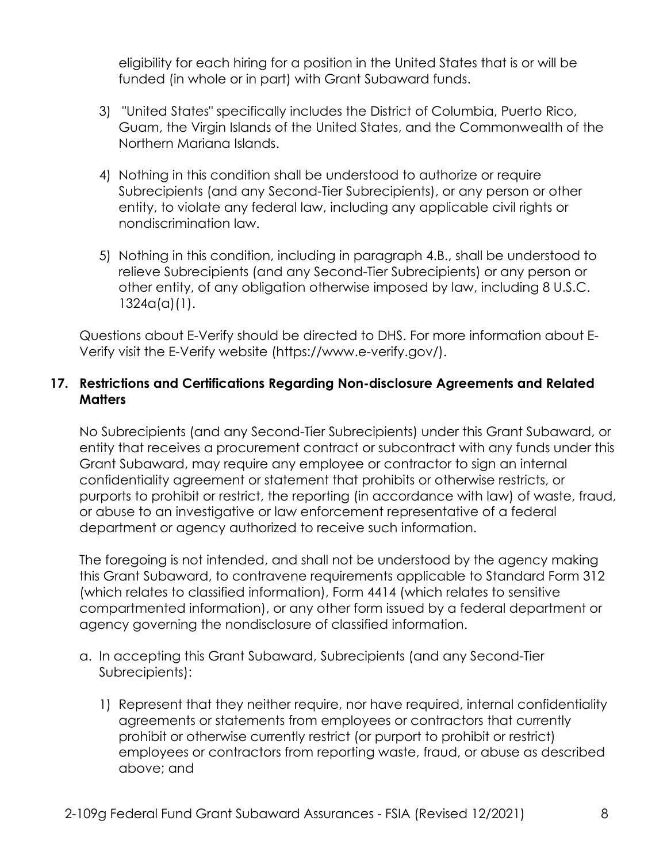eligibility for each hiring for a position in the United States that is or will be funded (in whole or in part) with Grant Subaward funds.

- 3) "United States" specifically includes the District of Columbia, Puerto Rico, Guam, the Virgin Islands of the United States, and the Commonwealth of the Northern Mariana Islands.
- 4) Nothing in this condition shall be understood to authorize or require Subrecipients (and any Second-Tier Subrecipients), or any person or other entity, to violate any federal law, including any applicable civil rights or nondiscrimination law.
- 5) Nothing in this condition, including in paragraph 4.B., shall be understood to relieve Subrecipients (and any Second-Tier Subrecipients) or any person or other entity, of any obligation otherwise imposed by law, including 8 U.S.C. 1324a(a)(1).

 Verify visit the E-Verify website (<https://www.e-verify.gov>/). Questions about E-Verify should be directed to DHS. For more information about E-

### **17. Restrictions and Certifications Regarding Non-disclosure Agreements and Related Matters**

 No Subrecipients (and any Second-Tier Subrecipients) under this Grant Subaward, or entity that receives a procurement contract or subcontract with any funds under this Grant Subaward, may require any employee or contractor to sign an internal confidentiality agreement or statement that prohibits or otherwise restricts, or purports to prohibit or restrict, the reporting (in accordance with law) of waste, fraud, or abuse to an investigative or law enforcement representative of a federal department or agency authorized to receive such information.

 compartmented information), or any other form issued by a federal department or The foregoing is not intended, and shall not be understood by the agency making this Grant Subaward, to contravene requirements applicable to Standard Form 312 (which relates to classified information), Form 4414 (which relates to sensitive agency governing the nondisclosure of classified information.

- a. In accepting this Grant Subaward, Subrecipients (and any Second-Tier Subrecipients):
	- 1) Represent that they neither require, nor have required, internal confidentiality prohibit or otherwise currently restrict (or purport to prohibit or restrict) above; and agreements or statements from employees or contractors that currently employees or contractors from reporting waste, fraud, or abuse as described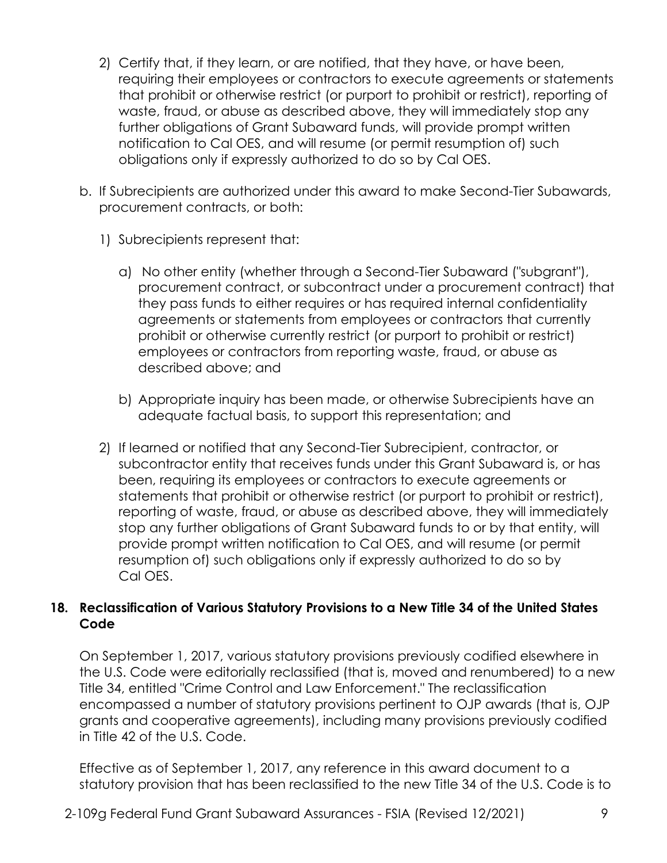- 2) Certify that, if they learn, or are notified, that they have, or have been, requiring their employees or contractors to execute agreements or statements that prohibit or otherwise restrict (or purport to prohibit or restrict), reporting of obligations only if expressly authorized to do so by Cal OES. waste, fraud, or abuse as described above, they will immediately stop any further obligations of Grant Subaward funds, will provide prompt written notification to Cal OES, and will resume (or permit resumption of) such
- b. If Subrecipients are authorized under this award to make Second-Tier Subawards, procurement contracts, or both:
	- 1) Subrecipients represent that:
		- procurement contract, or subcontract under a procurement contract) that prohibit or otherwise currently restrict (or purport to prohibit or restrict) a) No other entity (whether through a Second-Tier Subaward ("subgrant"), they pass funds to either requires or has required internal confidentiality agreements or statements from employees or contractors that currently employees or contractors from reporting waste, fraud, or abuse as described above; and
		- b) Appropriate inquiry has been made, or otherwise Subrecipients have an adequate factual basis, to support this representation; and
	- 2) If learned or notified that any Second-Tier Subrecipient, contractor, or subcontractor entity that receives funds under this Grant Subaward is, or has resumption of) such obligations only if expressly authorized to do so by been, requiring its employees or contractors to execute agreements or statements that prohibit or otherwise restrict (or purport to prohibit or restrict), reporting of waste, fraud, or abuse as described above, they will immediately stop any further obligations of Grant Subaward funds to or by that entity, will provide prompt written notification to Cal OES, and will resume (or permit Cal OES.

### **18. Reclassification of Various Statutory Provisions to a New Title 34 of the United States Code**

 grants and cooperative agreements), including many provisions previously codified On September 1, 2017, various statutory provisions previously codified elsewhere in the U.S. Code were editorially reclassified (that is, moved and renumbered) to a new Title 34, entitled "Crime Control and Law Enforcement." The reclassification encompassed a number of statutory provisions pertinent to OJP awards (that is, OJP in Title 42 of the U.S. Code.

Effective as of September 1, 2017, any reference in this award document to a statutory provision that has been reclassified to the new Title 34 of the U.S. Code is to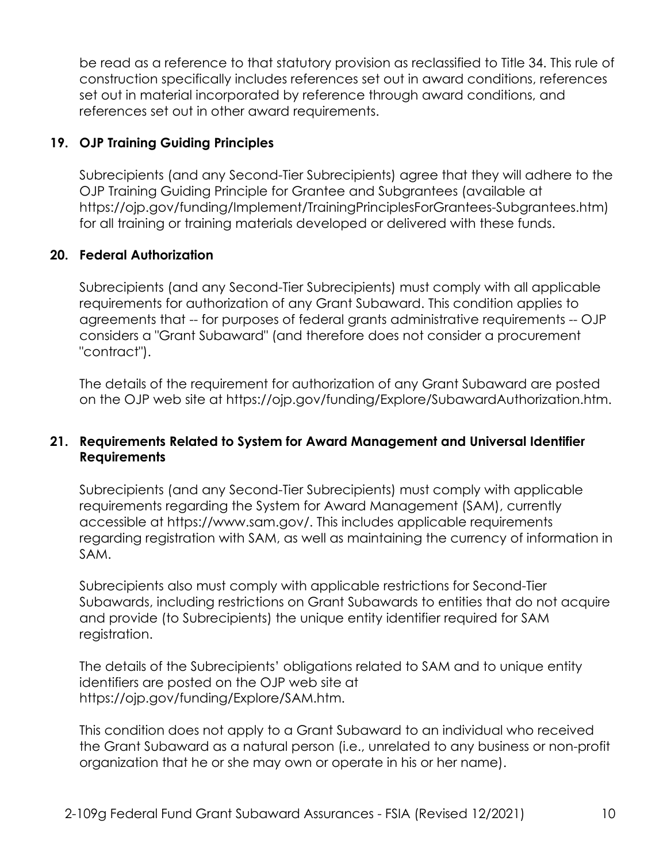be read as a reference to that statutory provision as reclassified to Title 34. This rule of construction specifically includes references set out in award conditions, references set out in material incorporated by reference through award conditions, and references set out in other award requirements.

### **19. OJP Training Guiding Principles**

Subrecipients (and any Second-Tier Subrecipients) agree that they will adhere to the OJP Training Guiding Principle for Grantee and Subgrantees (available at [https://ojp.gov/funding/Implement/TrainingPrinciplesForGrantees-Subgrantees.htm\)](https://ojp.gov/funding/Implement/TrainingPrinciplesForGrantees-Subgrantees.htm) for all training or training materials developed or delivered with these funds.

### **20. Federal Authorization**

Subrecipients (and any Second-Tier Subrecipients) must comply with all applicable requirements for authorization of any Grant Subaward. This condition applies to agreements that -- for purposes of federal grants administrative requirements -- OJP considers a "Grant Subaward" (and therefore does not consider a procurement "contract").

The details of the requirement for authorization of any Grant Subaward are posted on the OJP web site at <https://ojp.gov/funding/Explore/SubawardAuthorization.htm>.

#### **21. Requirements Related to System for Award Management and Universal Identifier Requirements**

Subrecipients (and any Second-Tier Subrecipients) must comply with applicable requirements regarding the System for Award Management (SAM), currently accessible at <https://www.sam.gov>/. This includes applicable requirements regarding registration with SAM, as well as maintaining the currency of information in SAM.

Subrecipients also must comply with applicable restrictions for Second-Tier Subawards, including restrictions on Grant Subawards to entities that do not acquire and provide (to Subrecipients) the unique entity identifier required for SAM registration.

The details of the Subrecipients' obligations related to SAM and to unique entity identifiers are posted on the OJP web site at [https://ojp.gov/funding/Explore/SAM.htm.](https://ojp.gov/funding/Explore/SAM.htm)

This condition does not apply to a Grant Subaward to an individual who received the Grant Subaward as a natural person (i.e., unrelated to any business or non-profit organization that he or she may own or operate in his or her name).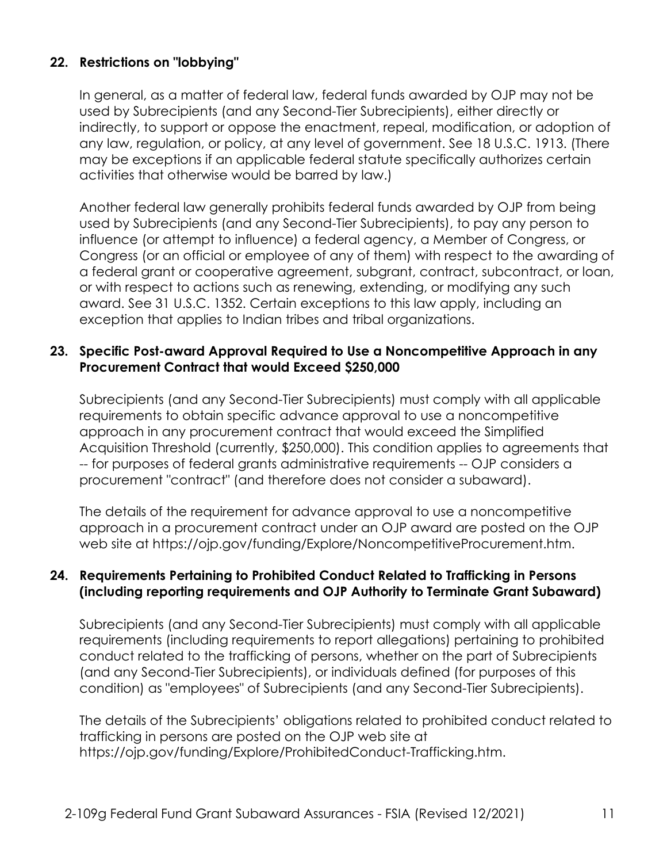## **22. Restrictions on "lobbying"**

In general, as a matter of federal law, federal funds awarded by OJP may not be used by Subrecipients (and any Second-Tier Subrecipients), either directly or indirectly, to support or oppose the enactment, repeal, modification, or adoption of any law, regulation, or policy, at any level of government. See 18 U.S.C. 1913. (There may be exceptions if an applicable federal statute specifically authorizes certain activities that otherwise would be barred by law.)

 influence (or attempt to influence) a federal agency, a Member of Congress, or Congress (or an official or employee of any of them) with respect to the awarding of a federal grant or cooperative agreement, subgrant, contract, subcontract, or loan, Another federal law generally prohibits federal funds awarded by OJP from being used by Subrecipients (and any Second-Tier Subrecipients), to pay any person to or with respect to actions such as renewing, extending, or modifying any such award. See 31 U.S.C. 1352. Certain exceptions to this law apply, including an exception that applies to Indian tribes and tribal organizations.

### **23. Specific Post-award Approval Required to Use a Noncompetitive Approach in any Procurement Contract that would Exceed \$250,000**

Subrecipients (and any Second-Tier Subrecipients) must comply with all applicable requirements to obtain specific advance approval to use a noncompetitive approach in any procurement contract that would exceed the Simplified Acquisition Threshold (currently, \$250,000). This condition applies to agreements that -- for purposes of federal grants administrative requirements -- OJP considers a procurement "contract" (and therefore does not consider a subaward).

 The details of the requirement for advance approval to use a noncompetitive web site at [https://ojp.gov/funding/Explore/NoncompetitiveProcurement.htm.](https://ojp.gov/funding/Explore/NoncompetitiveProcurement.htm) approach in a procurement contract under an OJP award are posted on the OJP

#### **(including reporting requirements and OJP Authority to Terminate Grant Subaward) 24. Requirements Pertaining to Prohibited Conduct Related to Trafficking in Persons**

 (and any Second-Tier Subrecipients), or individuals defined (for purposes of this Subrecipients (and any Second-Tier Subrecipients) must comply with all applicable requirements (including requirements to report allegations) pertaining to prohibited conduct related to the trafficking of persons, whether on the part of Subrecipients condition) as "employees" of Subrecipients (and any Second-Tier Subrecipients).

The details of the Subrecipients' obligations related to prohibited conduct related to trafficking in persons are posted on the OJP web site at <https://ojp.gov/funding/Explore/ProhibitedConduct-Trafficking.htm>.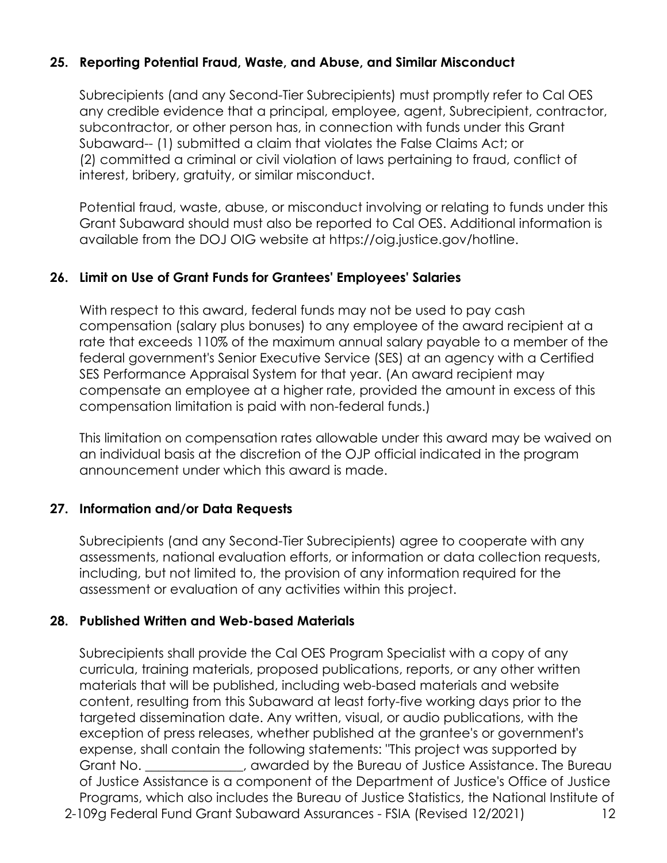## **25. Reporting Potential Fraud, Waste, and Abuse, and Similar Misconduct**

 subcontractor, or other person has, in connection with funds under this Grant (2) committed a criminal or civil violation of laws pertaining to fraud, conflict of Subrecipients (and any Second-Tier Subrecipients) must promptly refer to Cal OES any credible evidence that a principal, employee, agent, Subrecipient, contractor, Subaward-- (1) submitted a claim that violates the False Claims Act; or interest, bribery, gratuity, or similar misconduct.

 Grant Subaward should must also be reported to Cal OES. Additional information is Potential fraud, waste, abuse, or misconduct involving or relating to funds under this available from the DOJ OIG website at [https://oig.justice.gov/hotline.](https://oig.justice.gov/hotline)

#### **26. Limit on Use of Grant Funds for Grantees' Employees' Salaries**

 compensate an employee at a higher rate, provided the amount in excess of this With respect to this award, federal funds may not be used to pay cash compensation (salary plus bonuses) to any employee of the award recipient at a rate that exceeds 110% of the maximum annual salary payable to a member of the federal government's Senior Executive Service (SES) at an agency with a Certified SES Performance Appraisal System for that year. (An award recipient may compensation limitation is paid with non-federal funds.)

This limitation on compensation rates allowable under this award may be waived on an individual basis at the discretion of the OJP official indicated in the program announcement under which this award is made.

#### **27. Information and/or Data Requests**

Subrecipients (and any Second-Tier Subrecipients) agree to cooperate with any assessments, national evaluation efforts, or information or data collection requests, including, but not limited to, the provision of any information required for the assessment or evaluation of any activities within this project.

#### **28. Published Written and Web-based Materials**

 2-109g Federal Fund Grant Subaward Assurances - FSIA (Revised 12/2021) 12 curricula, training materials, proposed publications, reports, or any other written Subrecipients shall provide the Cal OES Program Specialist with a copy of any materials that will be published, including web-based materials and website content, resulting from this Subaward at least forty-five working days prior to the targeted dissemination date. Any written, visual, or audio publications, with the exception of press releases, whether published at the grantee's or government's expense, shall contain the following statements: "This project was supported by Grant No. \_\_\_\_\_\_\_\_\_\_\_\_\_\_\_, awarded by the Bureau of Justice Assistance. The Bureau of Justice Assistance is a component of the Department of Justice's Office of Justice Programs, which also includes the Bureau of Justice Statistics, the National Institute of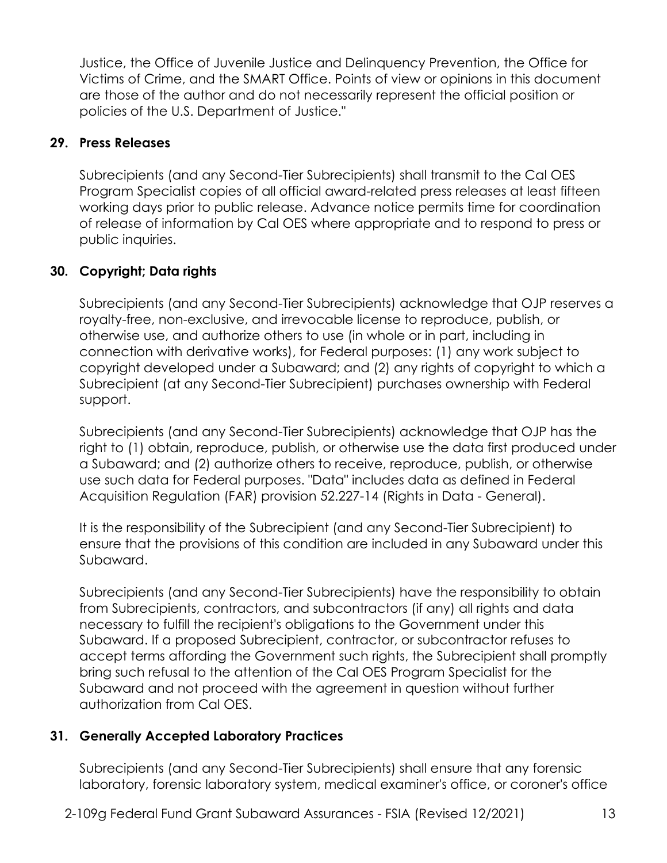Victims of Crime, and the SMART Office. Points of view or opinions in this document Justice, the Office of Juvenile Justice and Delinquency Prevention, the Office for are those of the author and do not necessarily represent the official position or policies of the U.S. Department of Justice."

## **29. Press Releases**

 of release of information by Cal OES where appropriate and to respond to press or Subrecipients (and any Second-Tier Subrecipients) shall transmit to the Cal OES Program Specialist copies of all official award-related press releases at least fifteen working days prior to public release. Advance notice permits time for coordination public inquiries.

## **30. Copyright; Data rights**

 Subrecipients (and any Second-Tier Subrecipients) acknowledge that OJP reserves a royalty-free, non-exclusive, and irrevocable license to reproduce, publish, or otherwise use, and authorize others to use (in whole or in part, including in connection with derivative works), for Federal purposes: (1) any work subject to copyright developed under a Subaward; and (2) any rights of copyright to which a Subrecipient (at any Second-Tier Subrecipient) purchases ownership with Federal support.

 right to (1) obtain, reproduce, publish, or otherwise use the data first produced under a Subaward; and (2) authorize others to receive, reproduce, publish, or otherwise Acquisition Regulation (FAR) provision 52.227-14 (Rights in Data - General). Subrecipients (and any Second-Tier Subrecipients) acknowledge that OJP has the use such data for Federal purposes. "Data" includes data as defined in Federal

It is the responsibility of the Subrecipient (and any Second-Tier Subrecipient) to ensure that the provisions of this condition are included in any Subaward under this Subaward.

Subrecipients (and any Second-Tier Subrecipients) have the responsibility to obtain from Subrecipients, contractors, and subcontractors (if any) all rights and data necessary to fulfill the recipient's obligations to the Government under this Subaward. If a proposed Subrecipient, contractor, or subcontractor refuses to accept terms affording the Government such rights, the Subrecipient shall promptly bring such refusal to the attention of the Cal OES Program Specialist for the Subaward and not proceed with the agreement in question without further authorization from Cal OES.

## **31. Generally Accepted Laboratory Practices**

Subrecipients (and any Second-Tier Subrecipients) shall ensure that any forensic laboratory, forensic laboratory system, medical examiner's office, or coroner's office

2-109g Federal Fund Grant Subaward Assurances - FSIA (Revised 12/2021) 13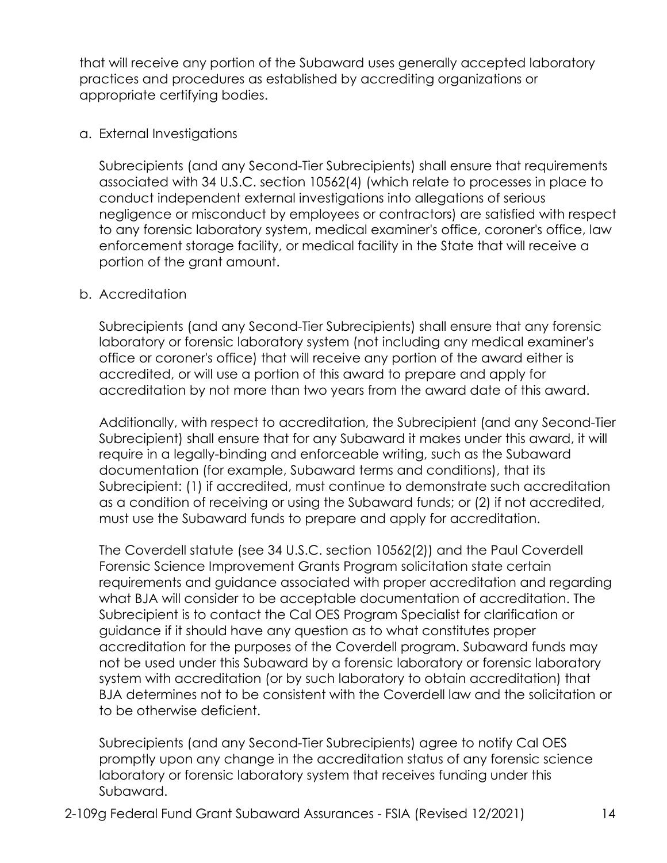that will receive any portion of the Subaward uses generally accepted laboratory practices and procedures as established by accrediting organizations or appropriate certifying bodies.

#### a. External Investigations

 conduct independent external investigations into allegations of serious Subrecipients (and any Second-Tier Subrecipients) shall ensure that requirements associated with 34 U.S.C. section 10562(4) (which relate to processes in place to negligence or misconduct by employees or contractors) are satisfied with respect to any forensic laboratory system, medical examiner's office, coroner's office, law enforcement storage facility, or medical facility in the State that will receive a portion of the grant amount.

#### b. Accreditation

 accredited, or will use a portion of this award to prepare and apply for Subrecipients (and any Second-Tier Subrecipients) shall ensure that any forensic laboratory or forensic laboratory system (not including any medical examiner's office or coroner's office) that will receive any portion of the award either is accreditation by not more than two years from the award date of this award.

Additionally, with respect to accreditation, the Subrecipient (and any Second-Tier Subrecipient) shall ensure that for any Subaward it makes under this award, it will require in a legally-binding and enforceable writing, such as the Subaward documentation (for example, Subaward terms and conditions), that its Subrecipient: (1) if accredited, must continue to demonstrate such accreditation as a condition of receiving or using the Subaward funds; or (2) if not accredited, must use the Subaward funds to prepare and apply for accreditation.

 guidance if it should have any question as to what constitutes proper system with accreditation (or by such laboratory to obtain accreditation) that The Coverdell statute (see 34 U.S.C. section 10562(2)) and the Paul Coverdell Forensic Science Improvement Grants Program solicitation state certain requirements and guidance associated with proper accreditation and regarding what BJA will consider to be acceptable documentation of accreditation. The Subrecipient is to contact the Cal OES Program Specialist for clarification or accreditation for the purposes of the Coverdell program. Subaward funds may not be used under this Subaward by a forensic laboratory or forensic laboratory BJA determines not to be consistent with the Coverdell law and the solicitation or to be otherwise deficient.

 laboratory or forensic laboratory system that receives funding under this Subrecipients (and any Second-Tier Subrecipients) agree to notify Cal OES promptly upon any change in the accreditation status of any forensic science Subaward.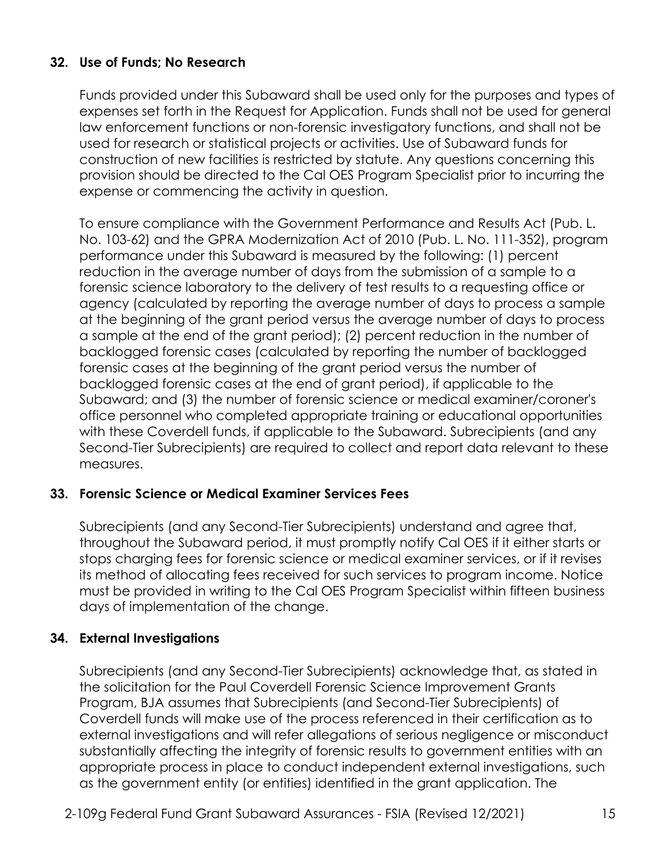## **32. Use of Funds; No Research**

 Funds provided under this Subaward shall be used only for the purposes and types of used for research or statistical projects or activities. Use of Subaward funds for expenses set forth in the Request for Application. Funds shall not be used for general law enforcement functions or non-forensic investigatory functions, and shall not be construction of new facilities is restricted by statute. Any questions concerning this provision should be directed to the Cal OES Program Specialist prior to incurring the expense or commencing the activity in question.

 a sample at the end of the grant period); (2) percent reduction in the number of forensic cases at the beginning of the grant period versus the number of backlogged forensic cases at the end of grant period), if applicable to the To ensure compliance with the Government Performance and Results Act (Pub. L. No. 103-62) and the GPRA Modernization Act of 2010 (Pub. L. No. 111-352), program performance under this Subaward is measured by the following: (1) percent reduction in the average number of days from the submission of a sample to a forensic science laboratory to the delivery of test results to a requesting office or agency (calculated by reporting the average number of days to process a sample at the beginning of the grant period versus the average number of days to process backlogged forensic cases (calculated by reporting the number of backlogged Subaward; and (3) the number of forensic science or medical examiner/coroner's office personnel who completed appropriate training or educational opportunities with these Coverdell funds, if applicable to the Subaward. Subrecipients (and any Second-Tier Subrecipients) are required to collect and report data relevant to these measures.

## **33. Forensic Science or Medical Examiner Services Fees**

 throughout the Subaward period, it must promptly notify Cal OES if it either starts or its method of allocating fees received for such services to program income. Notice Subrecipients (and any Second-Tier Subrecipients) understand and agree that, stops charging fees for forensic science or medical examiner services, or if it revises must be provided in writing to the Cal OES Program Specialist within fifteen business days of implementation of the change.

## **34. External Investigations**

Subrecipients (and any Second-Tier Subrecipients) acknowledge that, as stated in the solicitation for the Paul Coverdell Forensic Science Improvement Grants Program, BJA assumes that Subrecipients (and Second-Tier Subrecipients) of Coverdell funds will make use of the process referenced in their certification as to external investigations and will refer allegations of serious negligence or misconduct substantially affecting the integrity of forensic results to government entities with an appropriate process in place to conduct independent external investigations, such as the government entity (or entities) identified in the grant application. The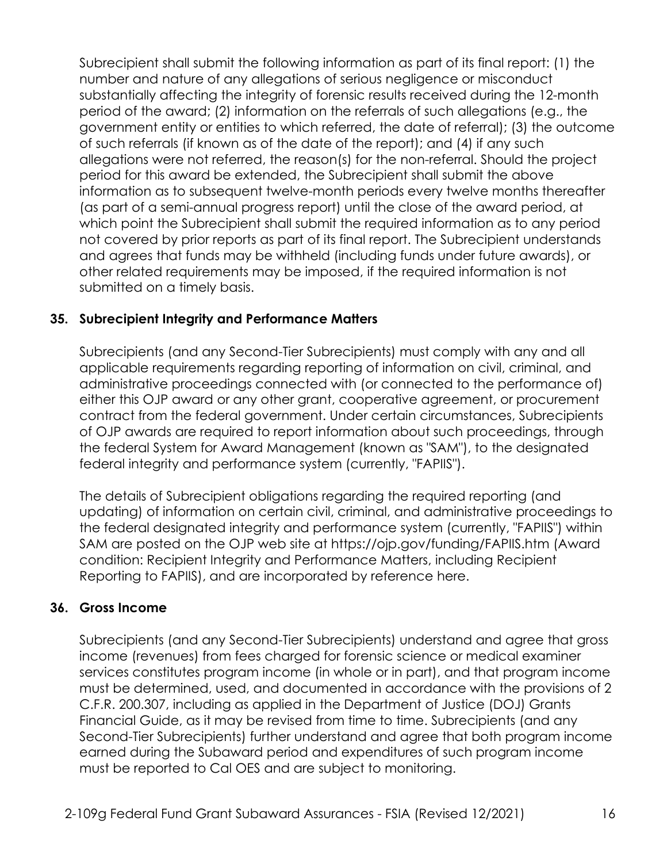and agrees that funds may be withheld (including funds under future awards), or Subrecipient shall submit the following information as part of its final report: (1) the number and nature of any allegations of serious negligence or misconduct substantially affecting the integrity of forensic results received during the 12-month period of the award; (2) information on the referrals of such allegations (e.g., the government entity or entities to which referred, the date of referral); (3) the outcome of such referrals (if known as of the date of the report); and (4) if any such allegations were not referred, the reason(s) for the non-referral. Should the project period for this award be extended, the Subrecipient shall submit the above information as to subsequent twelve-month periods every twelve months thereafter (as part of a semi-annual progress report) until the close of the award period, at which point the Subrecipient shall submit the required information as to any period not covered by prior reports as part of its final report. The Subrecipient understands other related requirements may be imposed, if the required information is not submitted on a timely basis.

### **35. Subrecipient Integrity and Performance Matters**

Subrecipients (and any Second-Tier Subrecipients) must comply with any and all applicable requirements regarding reporting of information on civil, criminal, and administrative proceedings connected with (or connected to the performance of) either this OJP award or any other grant, cooperative agreement, or procurement contract from the federal government. Under certain circumstances, Subrecipients of OJP awards are required to report information about such proceedings, through the federal System for Award Management (known as "SAM"), to the designated federal integrity and performance system (currently, "FAPIIS").

 updating) of information on certain civil, criminal, and administrative proceedings to The details of Subrecipient obligations regarding the required reporting (and the federal designated integrity and performance system (currently, "FAPIIS") within SAM are posted on the OJP web site at<https://ojp.gov/funding/FAPIIS.htm>(Award condition: Recipient Integrity and Performance Matters, including Recipient Reporting to FAPIIS), and are incorporated by reference here.

#### **36. Gross Income**

 must be reported to Cal OES and are subject to monitoring. Subrecipients (and any Second-Tier Subrecipients) understand and agree that gross income (revenues) from fees charged for forensic science or medical examiner services constitutes program income (in whole or in part), and that program income must be determined, used, and documented in accordance with the provisions of 2 C.F.R. 200.307, including as applied in the Department of Justice (DOJ) Grants Financial Guide, as it may be revised from time to time. Subrecipients (and any Second-Tier Subrecipients) further understand and agree that both program income earned during the Subaward period and expenditures of such program income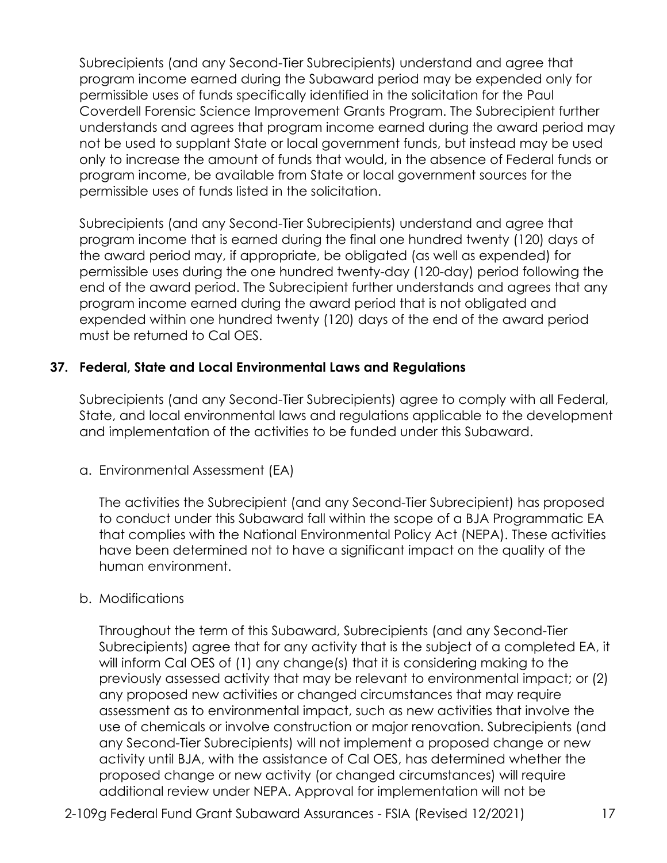Subrecipients (and any Second-Tier Subrecipients) understand and agree that program income earned during the Subaward period may be expended only for permissible uses of funds specifically identified in the solicitation for the Paul Coverdell Forensic Science Improvement Grants Program. The Subrecipient further understands and agrees that program income earned during the award period may not be used to supplant State or local government funds, but instead may be used only to increase the amount of funds that would, in the absence of Federal funds or program income, be available from State or local government sources for the permissible uses of funds listed in the solicitation.

 program income earned during the award period that is not obligated and Subrecipients (and any Second-Tier Subrecipients) understand and agree that program income that is earned during the final one hundred twenty (120) days of the award period may, if appropriate, be obligated (as well as expended) for permissible uses during the one hundred twenty-day (120-day) period following the end of the award period. The Subrecipient further understands and agrees that any expended within one hundred twenty (120) days of the end of the award period must be returned to Cal OES.

### **37. Federal, State and Local Environmental Laws and Regulations**

 and implementation of the activities to be funded under this Subaward. Subrecipients (and any Second-Tier Subrecipients) agree to comply with all Federal, State, and local environmental laws and regulations applicable to the development

a. Environmental Assessment (EA)

The activities the Subrecipient (and any Second-Tier Subrecipient) has proposed to conduct under this Subaward fall within the scope of a BJA Programmatic EA that complies with the National Environmental Policy Act (NEPA). These activities have been determined not to have a significant impact on the quality of the human environment.

#### b. Modifications

 Throughout the term of this Subaward, Subrecipients (and any Second-Tier any proposed new activities or changed circumstances that may require Subrecipients) agree that for any activity that is the subject of a completed EA, it will inform Cal OES of (1) any change(s) that it is considering making to the previously assessed activity that may be relevant to environmental impact; or (2) assessment as to environmental impact, such as new activities that involve the use of chemicals or involve construction or major renovation. Subrecipients (and any Second-Tier Subrecipients) will not implement a proposed change or new activity until BJA, with the assistance of Cal OES, has determined whether the proposed change or new activity (or changed circumstances) will require additional review under NEPA. Approval for implementation will not be

2-109g Federal Fund Grant Subaward Assurances - FSIA (Revised 12/2021) 17